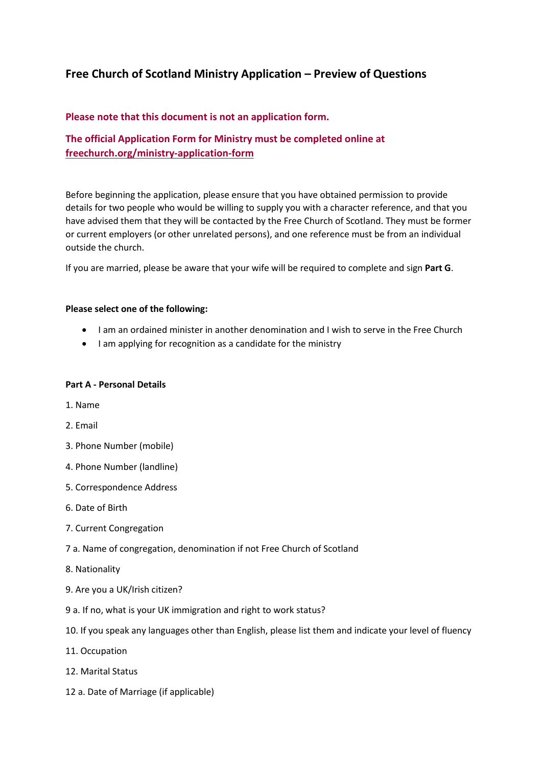# **Free Church of Scotland Ministry Application – Preview of Questions**

## **Please note that this document is not an application form.**

## **The official Application Form for Ministry must be completed online at [freechurch.org/ministry-application-form](https://freechurch.org/ministry-application-form)**

Before beginning the application, please ensure that you have obtained permission to provide details for two people who would be willing to supply you with a character reference, and that you have advised them that they will be contacted by the Free Church of Scotland. They must be former or current employers (or other unrelated persons), and one reference must be from an individual outside the church.

If you are married, please be aware that your wife will be required to complete and sign **Part G**.

## **Please select one of the following:**

- I am an ordained minister in another denomination and I wish to serve in the Free Church
- I am applying for recognition as a candidate for the ministry

## **Part A - Personal Details**

- 1. Name
- 2. Email
- 3. Phone Number (mobile)
- 4. Phone Number (landline)
- 5. Correspondence Address
- 6. Date of Birth
- 7. Current Congregation
- 7 a. Name of congregation, denomination if not Free Church of Scotland
- 8. Nationality
- 9. Are you a UK/Irish citizen?
- 9 a. If no, what is your UK immigration and right to work status?
- 10. If you speak any languages other than English, please list them and indicate your level of fluency
- 11. Occupation
- 12. Marital Status
- 12 a. Date of Marriage (if applicable)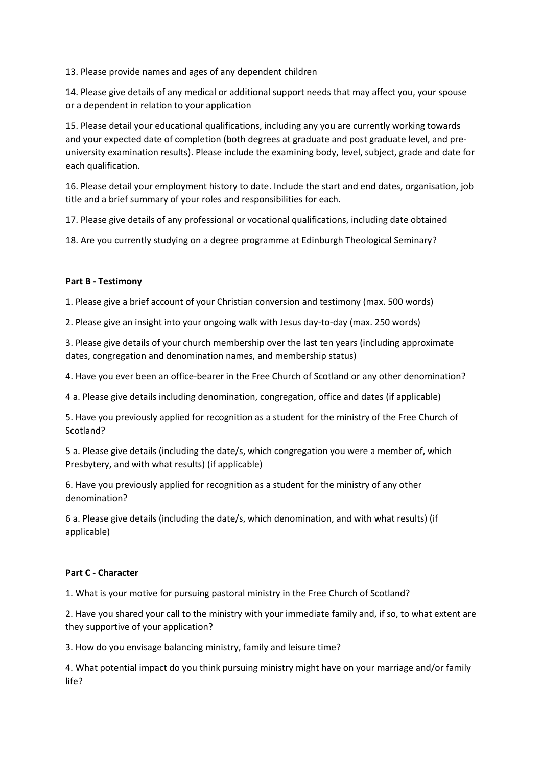13. Please provide names and ages of any dependent children

14. Please give details of any medical or additional support needs that may affect you, your spouse or a dependent in relation to your application

15. Please detail your educational qualifications, including any you are currently working towards and your expected date of completion (both degrees at graduate and post graduate level, and preuniversity examination results). Please include the examining body, level, subject, grade and date for each qualification.

16. Please detail your employment history to date. Include the start and end dates, organisation, job title and a brief summary of your roles and responsibilities for each.

17. Please give details of any professional or vocational qualifications, including date obtained

18. Are you currently studying on a degree programme at Edinburgh Theological Seminary?

## **Part B - Testimony**

1. Please give a brief account of your Christian conversion and testimony (max. 500 words)

2. Please give an insight into your ongoing walk with Jesus day-to-day (max. 250 words)

3. Please give details of your church membership over the last ten years (including approximate dates, congregation and denomination names, and membership status)

4. Have you ever been an office-bearer in the Free Church of Scotland or any other denomination?

4 a. Please give details including denomination, congregation, office and dates (if applicable)

5. Have you previously applied for recognition as a student for the ministry of the Free Church of Scotland?

5 a. Please give details (including the date/s, which congregation you were a member of, which Presbytery, and with what results) (if applicable)

6. Have you previously applied for recognition as a student for the ministry of any other denomination?

6 a. Please give details (including the date/s, which denomination, and with what results) (if applicable)

## **Part C - Character**

1. What is your motive for pursuing pastoral ministry in the Free Church of Scotland?

2. Have you shared your call to the ministry with your immediate family and, if so, to what extent are they supportive of your application?

3. How do you envisage balancing ministry, family and leisure time?

4. What potential impact do you think pursuing ministry might have on your marriage and/or family life?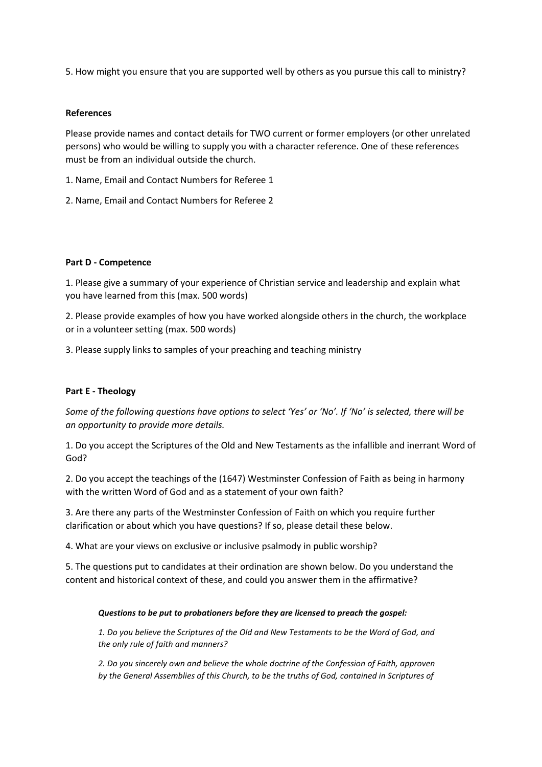5. How might you ensure that you are supported well by others as you pursue this call to ministry?

## **References**

Please provide names and contact details for TWO current or former employers (or other unrelated persons) who would be willing to supply you with a character reference. One of these references must be from an individual outside the church.

1. Name, Email and Contact Numbers for Referee 1

2. Name, Email and Contact Numbers for Referee 2

#### **Part D - Competence**

1. Please give a summary of your experience of Christian service and leadership and explain what you have learned from this (max. 500 words)

2. Please provide examples of how you have worked alongside others in the church, the workplace or in a volunteer setting (max. 500 words)

3. Please supply links to samples of your preaching and teaching ministry

## **Part E - Theology**

*Some of the following questions have options to select 'Yes' or 'No'. If 'No' is selected, there will be an opportunity to provide more details.*

1. Do you accept the Scriptures of the Old and New Testaments as the infallible and inerrant Word of God?

2. Do you accept the teachings of the (1647) Westminster Confession of Faith as being in harmony with the written Word of God and as a statement of your own faith?

3. Are there any parts of the Westminster Confession of Faith on which you require further clarification or about which you have questions? If so, please detail these below.

4. What are your views on exclusive or inclusive psalmody in public worship?

5. The questions put to candidates at their ordination are shown below. Do you understand the content and historical context of these, and could you answer them in the affirmative?

#### *Questions to be put to probationers before they are licensed to preach the gospel:*

*1. Do you believe the Scriptures of the Old and New Testaments to be the Word of God, and the only rule of faith and manners?* 

*2. Do you sincerely own and believe the whole doctrine of the Confession of Faith, approven by the General Assemblies of this Church, to be the truths of God, contained in Scriptures of*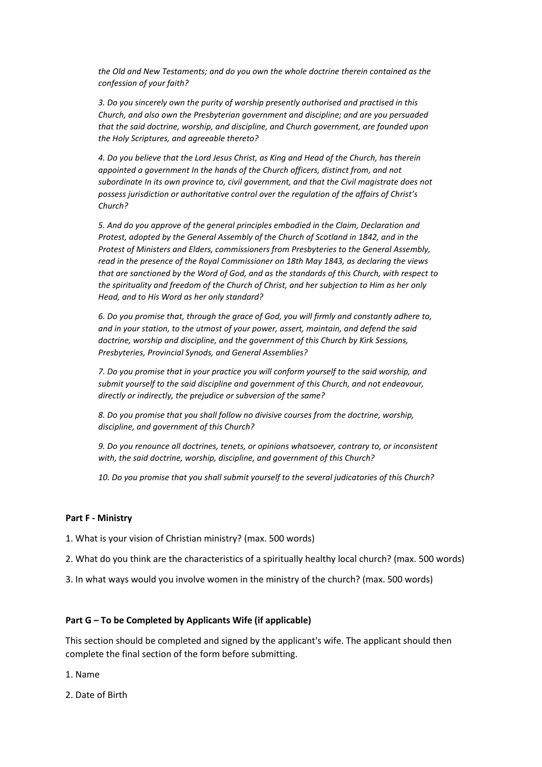*the Old and New Testaments; and do you own the whole doctrine therein contained as the confession of your faith?* 

*3. Do you sincerely own the purity of worship presently authorised and practised in this Church, and also own the Presbyterian government and discipline; and are you persuaded that the said doctrine, worship, and discipline, and Church government, are founded upon the Holy Scriptures, and agreeable thereto?* 

*4. Do you believe that the Lord Jesus Christ, as King and Head of the Church, has therein appointed a government In the hands of the Church officers, distinct from, and not subordinate In its own province to, civil government, and that the Civil magistrate does not possess jurisdiction or authoritative control over the regulation of the affairs of Christ's Church?* 

*5. And do you approve of the general principles embodied in the Claim, Declaration and Protest, adopted by the General Assembly of the Church of Scotland in 1842, and in the Protest of Ministers and Elders, commissioners from Presbyteries to the General Assembly, read in the presence of the Royal Commissioner on 18th May 1843, as declaring the views that are sanctioned by the Word of God, and as the standards of this Church, with respect to the spirituality and freedom of the Church of Christ, and her subjection to Him as her only Head, and to His Word as her only standard?*

*6. Do you promise that, through the grace of God, you will firmly and constantly adhere to, and in your station, to the utmost of your power, assert, maintain, and defend the said doctrine, worship and discipline, and the government of this Church by Kirk Sessions, Presbyteries, Provincial Synods, and General Assemblies?* 

*7. Do you promise that in your practice you will conform yourself to the said worship, and submit yourself to the said discipline and government of this Church, and not endeavour, directly or indirectly, the prejudice or subversion of the same?*

*8. Do you promise that you shall follow no divisive courses from the doctrine, worship, discipline, and government of this Church?* 

*9. Do you renounce all doctrines, tenets, or opinions whatsoever, contrary to, or inconsistent with, the said doctrine, worship, discipline, and government of this Church?*

*10. Do you promise that you shall submit yourself to the several judicatories of this Church?*

#### **Part F - Ministry**

1. What is your vision of Christian ministry? (max. 500 words)

- 2. What do you think are the characteristics of a spiritually healthy local church? (max. 500 words)
- 3. In what ways would you involve women in the ministry of the church? (max. 500 words)

#### **Part G – To be Completed by Applicants Wife (if applicable)**

This section should be completed and signed by the applicant's wife. The applicant should then complete the final section of the form before submitting.

1. Name

2. Date of Birth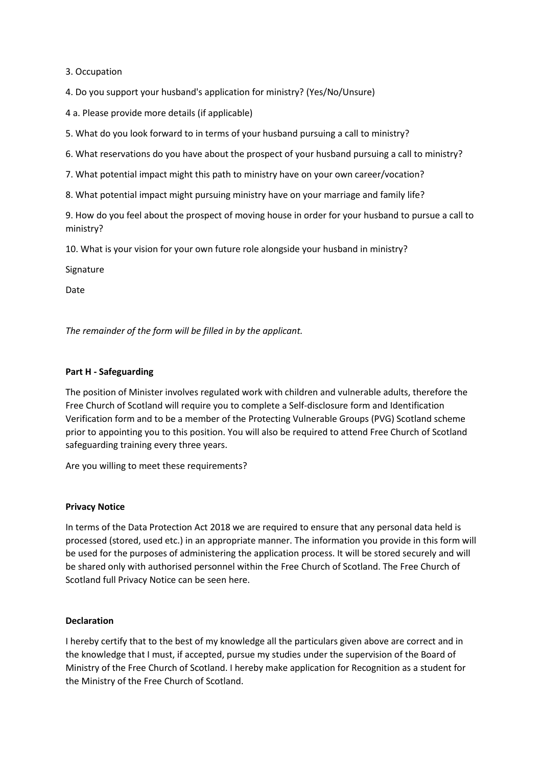3. Occupation

4. Do you support your husband's application for ministry? (Yes/No/Unsure)

4 a. Please provide more details (if applicable)

5. What do you look forward to in terms of your husband pursuing a call to ministry?

6. What reservations do you have about the prospect of your husband pursuing a call to ministry?

7. What potential impact might this path to ministry have on your own career/vocation?

8. What potential impact might pursuing ministry have on your marriage and family life?

9. How do you feel about the prospect of moving house in order for your husband to pursue a call to ministry?

10. What is your vision for your own future role alongside your husband in ministry?

Signature

Date

*The remainder of the form will be filled in by the applicant.*

## **Part H - Safeguarding**

The position of Minister involves regulated work with children and vulnerable adults, therefore the Free Church of Scotland will require you to complete a Self-disclosure form and Identification Verification form and to be a member of the Protecting Vulnerable Groups (PVG) Scotland scheme prior to appointing you to this position. You will also be required to attend Free Church of Scotland safeguarding training every three years.

Are you willing to meet these requirements?

## **Privacy Notice**

In terms of the Data Protection Act 2018 we are required to ensure that any personal data held is processed (stored, used etc.) in an appropriate manner. The information you provide in this form will be used for the purposes of administering the application process. It will be stored securely and will be shared only with authorised personnel within the Free Church of Scotland. The Free Church of Scotland full Privacy Notice can be seen here.

## **Declaration**

I hereby certify that to the best of my knowledge all the particulars given above are correct and in the knowledge that I must, if accepted, pursue my studies under the supervision of the Board of Ministry of the Free Church of Scotland. I hereby make application for Recognition as a student for the Ministry of the Free Church of Scotland.